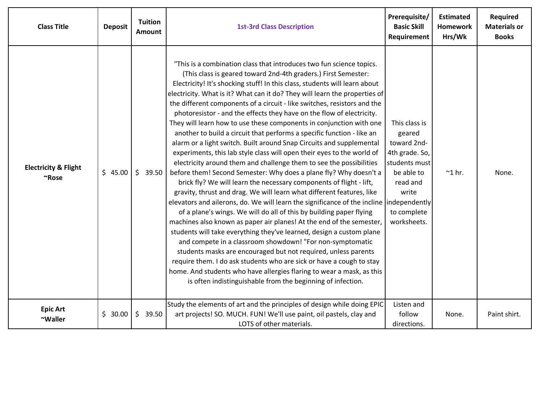| <b>Class Title</b>                              | <b>Deposit</b> | <b>Tuition</b><br>Amount | <b>1st-3rd Class Description</b>                                                                                                                                                                                                                                                                                                                                                                                                                                                                                                                                                                                                                                                                                                                                                                                                                                                                                                                                                                                                                                                                                                                                                                                                                                                                                                                                                                                                                                                                                                                                                                                                                                                                                        | Prerequisite/<br><b>Basic Skill</b><br>Requirement                                                                                         | <b>Estimated</b><br><b>Homework</b><br>Hrs/Wk | Required<br><b>Materials or</b><br><b>Books</b> |
|-------------------------------------------------|----------------|--------------------------|-------------------------------------------------------------------------------------------------------------------------------------------------------------------------------------------------------------------------------------------------------------------------------------------------------------------------------------------------------------------------------------------------------------------------------------------------------------------------------------------------------------------------------------------------------------------------------------------------------------------------------------------------------------------------------------------------------------------------------------------------------------------------------------------------------------------------------------------------------------------------------------------------------------------------------------------------------------------------------------------------------------------------------------------------------------------------------------------------------------------------------------------------------------------------------------------------------------------------------------------------------------------------------------------------------------------------------------------------------------------------------------------------------------------------------------------------------------------------------------------------------------------------------------------------------------------------------------------------------------------------------------------------------------------------------------------------------------------------|--------------------------------------------------------------------------------------------------------------------------------------------|-----------------------------------------------|-------------------------------------------------|
| <b>Electricity &amp; Flight</b><br>$~\sim$ Rose | \$45.00        | \$39.50                  | "This is a combination class that introduces two fun science topics.<br>(This class is geared toward 2nd-4th graders.) First Semester:<br>Electricity! It's shocking stuff! In this class, students will learn about<br>electricity. What is it? What can it do? They will learn the properties of<br>the different components of a circuit - like switches, resistors and the<br>photoresistor - and the effects they have on the flow of electricity.<br>They will learn how to use these components in conjunction with one<br>another to build a circuit that performs a specific function - like an<br>alarm or a light switch. Built around Snap Circuits and supplemental<br>experiments, this lab style class will open their eyes to the world of<br>electricity around them and challenge them to see the possibilities<br>before them! Second Semester: Why does a plane fly? Why doesn't a<br>brick fly? We will learn the necessary components of flight - lift,<br>gravity, thrust and drag. We will learn what different features, like<br>elevators and ailerons, do. We will learn the significance of the incline independently<br>of a plane's wings. We will do all of this by building paper flying<br>machines also known as paper air planes! At the end of the semester,<br>students will take everything they've learned, design a custom plane<br>and compete in a classroom showdown! "For non-symptomatic<br>students masks are encouraged but not required, unless parents<br>require them. I do ask students who are sick or have a cough to stay<br>home. And students who have allergies flaring to wear a mask, as this<br>is often indistinguishable from the beginning of infection. | This class is<br>geared<br>toward 2nd-<br>4th grade. So,<br>students must<br>be able to<br>read and<br>write<br>to complete<br>worksheets. | $^{\sim}$ 1 hr.                               | None.                                           |
| <b>Epic Art</b><br>~Waller                      | \$30.00        | \$<br>39.50              | Study the elements of art and the principles of design while doing EPIC<br>art projects! SO. MUCH. FUN! We'll use paint, oil pastels, clay and<br>LOTS of other materials.                                                                                                                                                                                                                                                                                                                                                                                                                                                                                                                                                                                                                                                                                                                                                                                                                                                                                                                                                                                                                                                                                                                                                                                                                                                                                                                                                                                                                                                                                                                                              | Listen and<br>follow<br>directions.                                                                                                        | None.                                         | Paint shirt.                                    |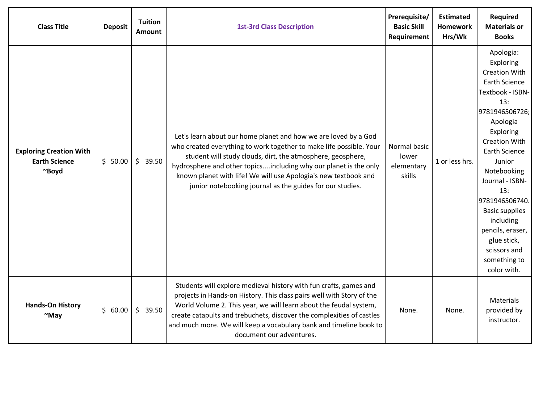| <b>Class Title</b>                                              | <b>Deposit</b> | <b>Tuition</b><br>Amount | <b>1st-3rd Class Description</b>                                                                                                                                                                                                                                                                                                                                                                          | Prerequisite/<br><b>Basic Skill</b><br>Requirement | <b>Estimated</b><br><b>Homework</b><br>Hrs/Wk | <b>Required</b><br><b>Materials or</b><br><b>Books</b>                                                                                                                                                                                                                                                                                                                                    |
|-----------------------------------------------------------------|----------------|--------------------------|-----------------------------------------------------------------------------------------------------------------------------------------------------------------------------------------------------------------------------------------------------------------------------------------------------------------------------------------------------------------------------------------------------------|----------------------------------------------------|-----------------------------------------------|-------------------------------------------------------------------------------------------------------------------------------------------------------------------------------------------------------------------------------------------------------------------------------------------------------------------------------------------------------------------------------------------|
| <b>Exploring Creation With</b><br><b>Earth Science</b><br>~Boyd | \$50.00        | \$39.50                  | Let's learn about our home planet and how we are loved by a God<br>who created everything to work together to make life possible. Your<br>student will study clouds, dirt, the atmosphere, geosphere,<br>hydrosphere and other topicsincluding why our planet is the only<br>known planet with life! We will use Apologia's new textbook and<br>junior notebooking journal as the guides for our studies. | Normal basic<br>lower<br>elementary<br>skills      | 1 or less hrs.                                | Apologia:<br>Exploring<br><b>Creation With</b><br><b>Earth Science</b><br>Textbook - ISBN-<br>13:<br>9781946506726;<br>Apologia<br>Exploring<br><b>Creation With</b><br><b>Earth Science</b><br>Junior<br>Notebooking<br>Journal - ISBN-<br>13:<br>9781946506740.<br><b>Basic supplies</b><br>including<br>pencils, eraser,<br>glue stick,<br>scissors and<br>something to<br>color with. |
| <b>Hands-On History</b><br>$~\sim$ May                          | \$60.00        | \$39.50                  | Students will explore medieval history with fun crafts, games and<br>projects in Hands-on History. This class pairs well with Story of the<br>World Volume 2. This year, we will learn about the feudal system,<br>create catapults and trebuchets, discover the complexities of castles<br>and much more. We will keep a vocabulary bank and timeline book to<br>document our adventures.                | None.                                              | None.                                         | Materials<br>provided by<br>instructor.                                                                                                                                                                                                                                                                                                                                                   |